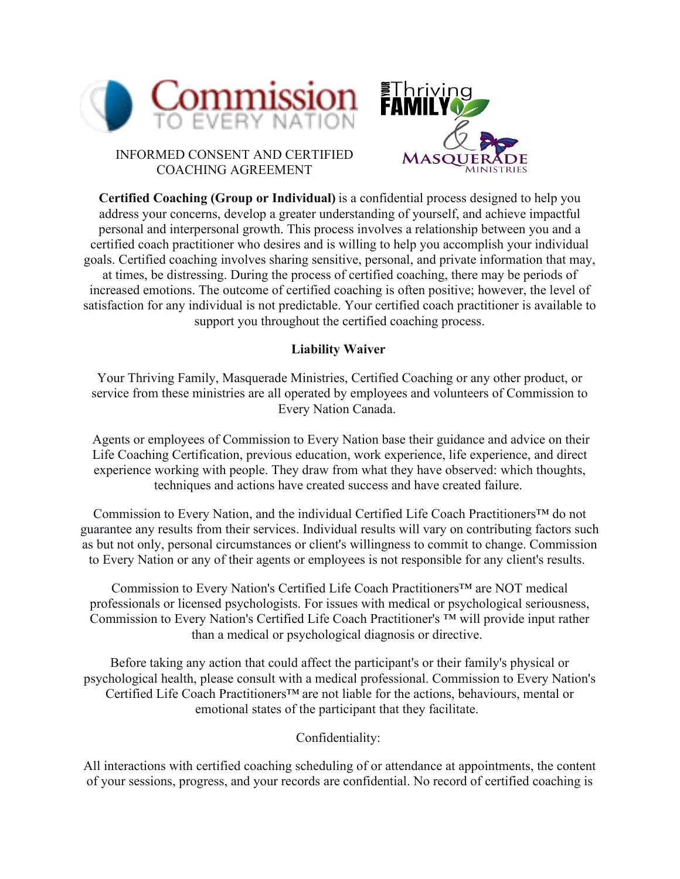



INFORMED CONSENT AND CERTIFIED COACHING AGREEMENT

**Certified Coaching (Group or Individual)** is a confidential process designed to help you address your concerns, develop a greater understanding of yourself, and achieve impactful personal and interpersonal growth. This process involves a relationship between you and a certified coach practitioner who desires and is willing to help you accomplish your individual goals. Certified coaching involves sharing sensitive, personal, and private information that may, at times, be distressing. During the process of certified coaching, there may be periods of increased emotions. The outcome of certified coaching is often positive; however, the level of satisfaction for any individual is not predictable. Your certified coach practitioner is available to support you throughout the certified coaching process.

## **Liability Waiver**

Your Thriving Family, Masquerade Ministries, Certified Coaching or any other product, or service from these ministries are all operated by employees and volunteers of Commission to Every Nation Canada.  

 Agents or employees of Commission to Every Nation base their guidance and advice on their Life Coaching Certification, previous education, work experience, life experience, and direct experience working with people. They draw from what they have observed: which thoughts, techniques and actions have created success and have created failure. 

Commission to Every Nation, and the individual Certified Life Coach Practitioners™ do not guarantee any results from their services. Individual results will vary on contributing factors such as but not only, personal circumstances or client's willingness to commit to change. Commission to Every Nation or any of their agents or employees is not responsible for any client's results.  

Commission to Every Nation's Certified Life Coach Practitioners™ are NOT medical professionals or licensed psychologists. For issues with medical or psychological seriousness, Commission to Every Nation's Certified Life Coach Practitioner's ™ will provide input rather than a medical or psychological diagnosis or directive.  

Before taking any action that could affect the participant's or their family's physical or psychological health, please consult with a medical professional. Commission to Every Nation's Certified Life Coach Practitioners™ are not liable for the actions, behaviours, mental or emotional states of the participant that they facilitate.  

Confidentiality: 

All interactions with certified coaching scheduling of or attendance at appointments, the content of your sessions, progress, and your records are confidential. No record of certified coaching is